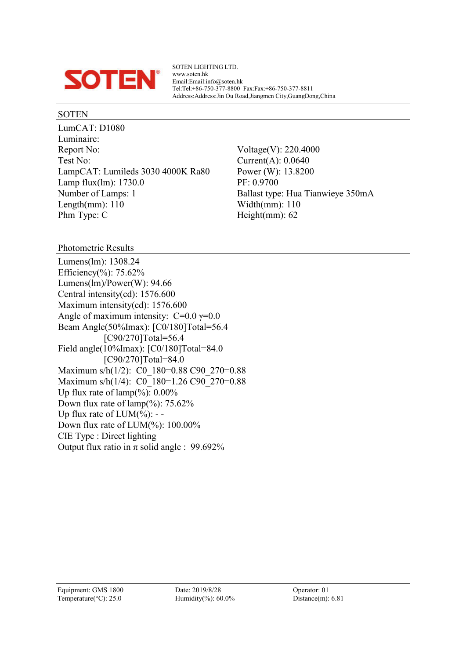

SOTEN LIGHTING LTD. www.soten.hk Email:Email:info@soten.hk Tel:Tel:+86-750-377-8800 Fax:Fax:+86-750-377-8811 Address:Address:Jin Ou Road,Jiangmen City,GuangDong,China

#### SOTEN

LumCAT: D1080 Luminaire: Report No: Voltage(V): 220.4000 Test No: Current(A): 0.0640 LampCAT: Lumileds 3030 4000K Ra80 Power (W): 13.8200 Lamp flux(lm): 1730.0 PF: 0.9700 Number of Lamps: 1 Ballast type: Hua Tianwieye 350mA Length(mm): 110 Width(mm): 110 Phm Type: C Height(mm): 62

Photometric Results

Lumens(lm): 1308.24 Efficiency(%): 75.62% Lumens(lm)/Power(W): 94.66 Central intensity(cd): 1576.600 Maximum intensity(cd): 1576.600 Angle of maximum intensity:  $C=0.0$   $\gamma=0.0$ Beam Angle(50%Imax): [C0/180]Total=56.4 [C90/270]Total=56.4 Field angle(10%Imax): [C0/180]Total=84.0 [C90/270]Total=84.0 Maximum s/h(1/2): C0\_180=0.88 C90\_270=0.88 Maximum s/h(1/4): C0\_180=1.26 C90\_270=0.88 Up flux rate of  $\text{lamp}(\%): 0.00\%$ Down flux rate of  $\text{lamp}(\%): 75.62\%$ Up flux rate of  $LUM(\%)$ : --Down flux rate of LUM(%): 100.00% CIE Type : Direct lighting Output flux ratio in  $\pi$  solid angle : 99.692%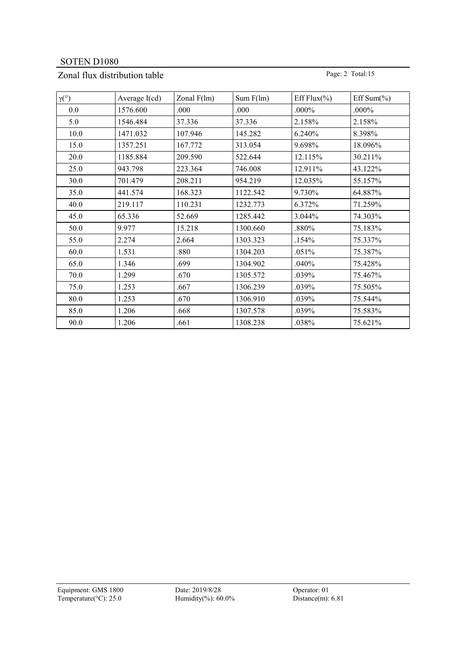# Zonal flux distribution table Page: 2 Total:15

| $\gamma$ <sup>(°</sup> ) | Average $I(cd)$ | Zonal $F(lm)$ | Sum F(lm) | Eff Flux $(\% )$ | Eff Sum $(\% )$ |
|--------------------------|-----------------|---------------|-----------|------------------|-----------------|
| 0.0                      | 1576.600        | .000          | .000      | $.000\%$         | $.000\%$        |
| 5.0                      | 1546.484        | 37.336        | 37.336    | 2.158%           | 2.158%          |
| 10.0                     | 1471.032        | 107.946       | 145.282   | 6.240%           | 8.398%          |
| 15.0                     | 1357.251        | 167.772       | 313.054   | 9.698%           | 18.096%         |
| 20.0                     | 1185.884        | 209.590       | 522.644   | 12.115%          | 30.211%         |
| 25.0                     | 943.798         | 223.364       | 746.008   | 12.911%          | 43.122%         |
| 30.0                     | 701.479         | 208.211       | 954.219   | 12.035%          | 55.157%         |
| 35.0                     | 441.574         | 168.323       | 1122.542  | 9.730%           | 64.887%         |
| 40.0                     | 219.117         | 110.231       | 1232.773  | 6.372%           | 71.259%         |
| 45.0                     | 65.336          | 52.669        | 1285.442  | 3.044%           | 74.303%         |
| 50.0                     | 9.977           | 15.218        | 1300.660  | .880%            | 75.183%         |
| 55.0                     | 2.274           | 2.664         | 1303.323  | .154%            | 75.337%         |
| 60.0                     | 1.531           | .880          | 1304.203  | .051%            | 75.387%         |
| 65.0                     | 1.346           | .699          | 1304.902  | .040%            | 75.428%         |
| 70.0                     | 1.299           | .670          | 1305.572  | .039%            | 75.467%         |
| 75.0                     | 1.253           | .667          | 1306.239  | .039%            | 75.505%         |
| 80.0                     | 1.253           | .670          | 1306.910  | .039%            | 75.544%         |
| 85.0                     | 1.206           | .668          | 1307.578  | .039%            | 75.583%         |
| 90.0                     | 1.206           | .661          | 1308.238  | .038%            | 75.621%         |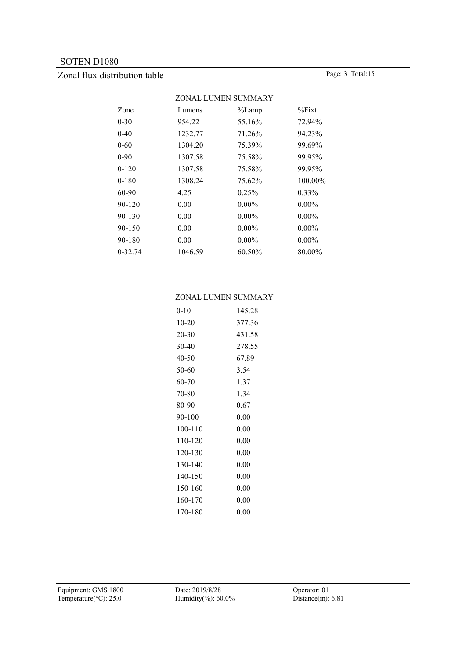# Zonal flux distribution table Page: 3 Total:15

|           |         | ZONAL LUMEN SUMMARY |           |
|-----------|---------|---------------------|-----------|
| Zone      | Lumens  | $\%$ Lamp           | $\%$ Fixt |
| 0-30      | 954.22  | 55.16%              | 72.94%    |
| $0 - 40$  | 1232.77 | 71.26%              | 94.23%    |
| 0-60      | 1304.20 | 75.39%              | 99.69%    |
| $0-90$    | 1307.58 | 75.58%              | 99.95%    |
| $0 - 120$ | 1307.58 | 75.58%              | 99.95%    |
| $0 - 180$ | 1308.24 | 75.62%              | 100.00%   |
| 60-90     | 4.25    | 0.25%               | $0.33\%$  |
| 90-120    | 0.00    | $0.00\%$            | $0.00\%$  |
| 90-130    | 0.00    | $0.00\%$            | $0.00\%$  |
| 90-150    | 0.00    | $0.00\%$            | $0.00\%$  |
| 90-180    | 0.00    | $0.00\%$            | $0.00\%$  |
| 0-32.74   | 1046.59 | 60.50%              | 80.00%    |
|           |         |                     |           |

#### ZONAL LUMEN SUMMARY

| $0 - 10$ | 145.28   |
|----------|----------|
| $10-20$  | 377.36   |
| 20-30    | 431.58   |
| 30-40    | 278.55   |
| 40-50    | 67.89    |
| 50-60    | 3.54     |
| 60-70    | 1.37     |
| 70-80    | 1.34     |
| 80-90    | 0.67     |
| 90-100   | 0.00     |
| 100-110  | 0.00     |
| 110-120  | 0.00     |
| 120-130  | 0.00     |
| 130-140  | 0.00     |
| 140-150  | 0.00     |
| 150-160  | 0.00     |
| 160-170  | 0.00     |
| 170-180  | $0.00\,$ |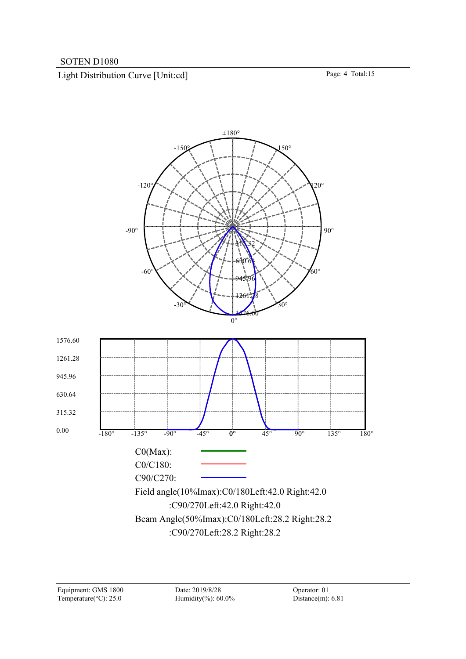Light Distribution Curve [Unit:cd] Page: 4 Total:15

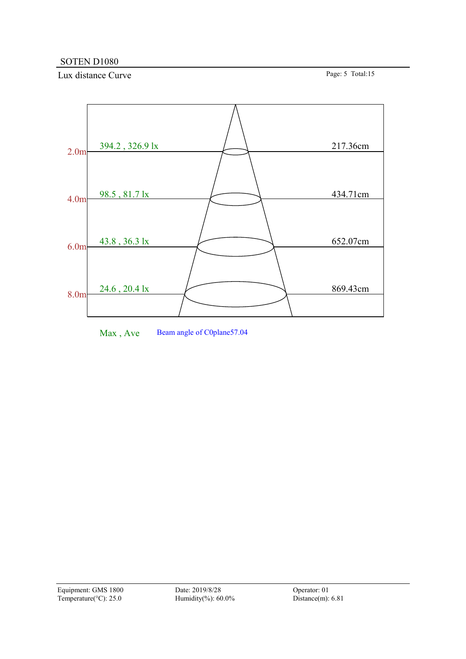Lux distance Curve Page: 5 Total:15



Max, Ave Beam angle of C0plane57.04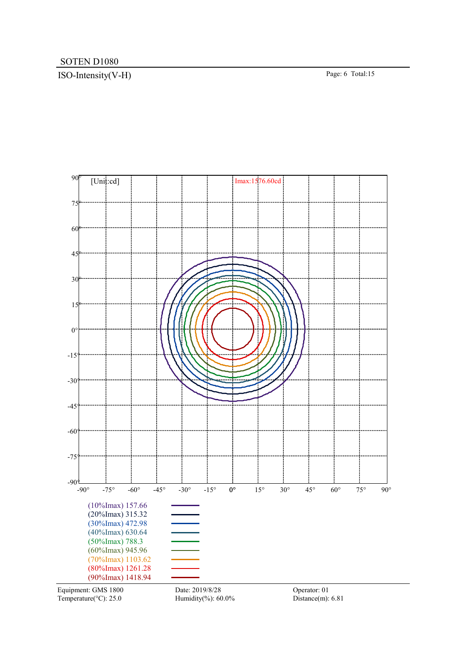# ISO-Intensity(V-H) Page: 6 Total:15

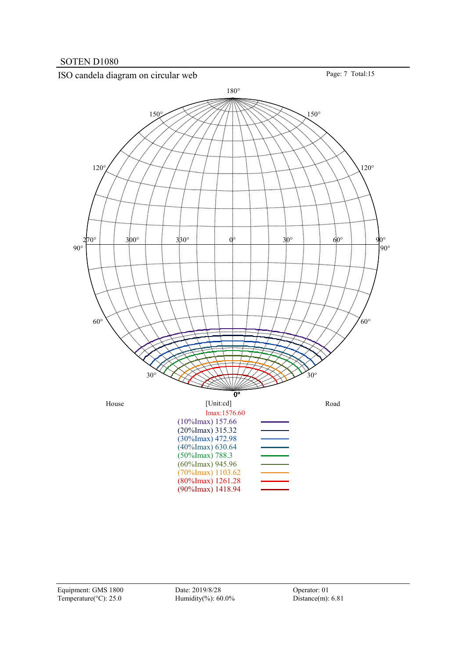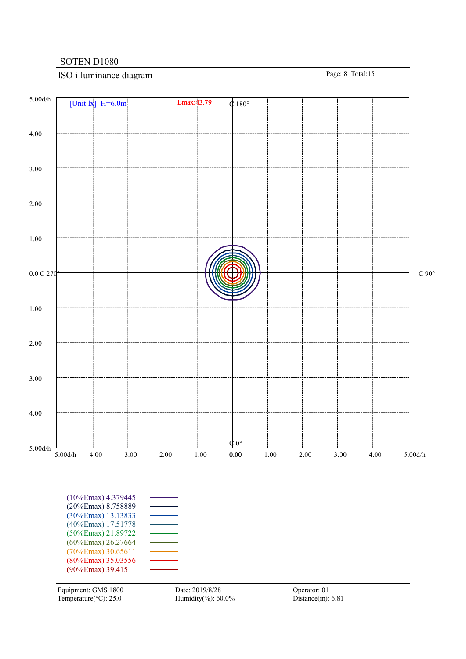# ISO illuminance diagram Page: 8 Total:15

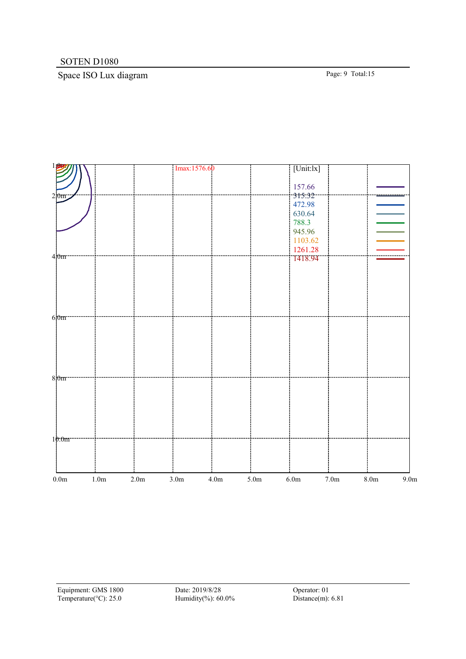# Space ISO Lux diagram Page: 9 Total:15

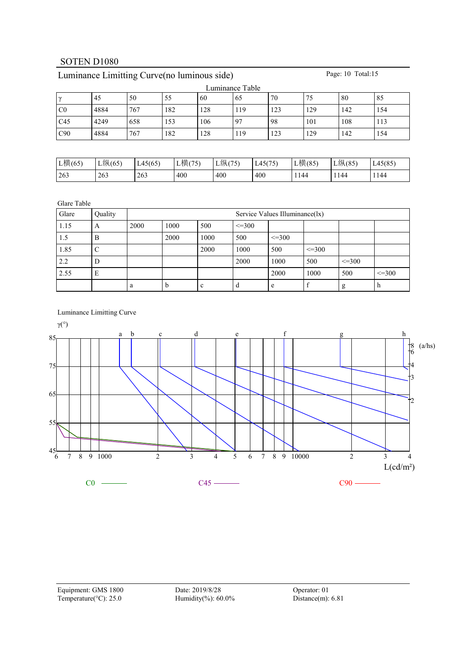| Luminance Table |      |     |     |     |     |     |     |     |     |  |  |
|-----------------|------|-----|-----|-----|-----|-----|-----|-----|-----|--|--|
| $\sim$          | 45   | 50  | 55  | 60  | 65  | 70  | 75  | 80  | 85  |  |  |
| C <sub>0</sub>  | 4884 | 767 | 182 | 128 | 119 | 123 | 129 | 142 | 154 |  |  |
| C45             | 4249 | 658 | 153 | 106 | -97 | 98  | 101 | 108 | 113 |  |  |
| C90             | 4884 | 767 | 182 | 128 | 119 | 123 | 129 | 142 | 154 |  |  |

# Luminance Limitting Curve(no luminous side) Page: 10 Total:15

| L横(65) | $L$ 纵(65) | L45(65) | 横(75) | L纵(75) | L45(75) | L横(85) | L纵(85 | L <sub>45</sub> (85 |
|--------|-----------|---------|-------|--------|---------|--------|-------|---------------------|
| 263    | 263       | 263     | 400   | 400    | 400     | 1144   | 144   | 1144                |

Glare Table

| Glare | Quality |      | Service Values Illuminance(lx) |             |              |              |              |             |              |  |  |  |
|-------|---------|------|--------------------------------|-------------|--------------|--------------|--------------|-------------|--------------|--|--|--|
| 1.15  | A       | 2000 | 1000                           | 500         | $\leq$ = 300 |              |              |             |              |  |  |  |
| 1.5   | B       |      | 2000                           | 1000        | 500          | $\leq$ = 300 |              |             |              |  |  |  |
| 1.85  | C       |      |                                | 2000        | 1000         | 500          | $\leq$ = 300 |             |              |  |  |  |
| 2.2   | D       |      |                                |             | 2000         | 1000         | 500          | $\leq$ =300 |              |  |  |  |
| 2.55  | E       |      |                                |             |              | 2000         | 1000         | 500         | $\leq$ = 300 |  |  |  |
|       |         | a    | <sub>n</sub>                   | $\sim$<br>c | d            | e            |              | g           | n            |  |  |  |

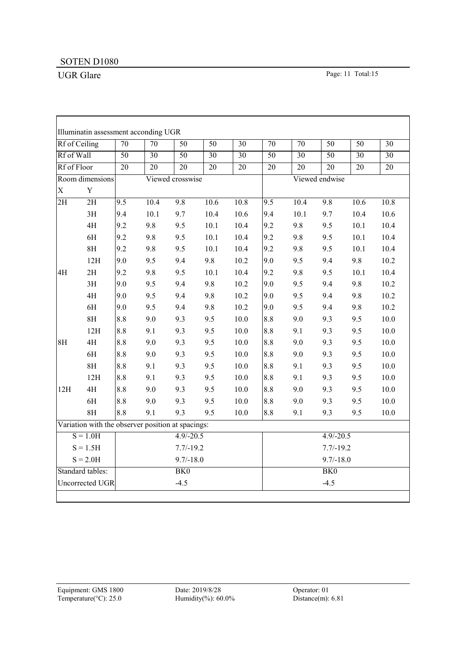r

UGR Glare Page: 11 Total:15

٦

|                 | Rf of Ceiling                                     | $\overline{70}$ | $\overline{70}$ | $\overline{50}$  | $\overline{50}$ | $\overline{30}$ | $\overline{70}$ | $\overline{70}$ | $\overline{50}$ | $\overline{50}$ | $\overline{30}$ |
|-----------------|---------------------------------------------------|-----------------|-----------------|------------------|-----------------|-----------------|-----------------|-----------------|-----------------|-----------------|-----------------|
| Rf of Wall      |                                                   | $\overline{50}$ | $\overline{30}$ | $\overline{50}$  | $\overline{30}$ | $\overline{30}$ | $\overline{50}$ | $\overline{30}$ | $\overline{50}$ | $\overline{30}$ | $\overline{30}$ |
| Rf of Floor     |                                                   | $\overline{20}$ | $\overline{20}$ | $\overline{20}$  | $\overline{20}$ | $\overline{20}$ | $\overline{20}$ | $\overline{20}$ | $\overline{20}$ | $\overline{20}$ | $\overline{20}$ |
|                 | Room dimensions                                   |                 |                 | Viewed crosswise |                 |                 |                 |                 | Viewed endwise  |                 |                 |
| $\mathbf X$     | $\mathbf Y$                                       |                 |                 |                  |                 |                 |                 |                 |                 |                 |                 |
| $\overline{2H}$ | $\overline{2H}$                                   | 9.5             | 10.4            | 9.8              | 10.6            | 10.8            | 9.5             | 10.4            | 9.8             | 10.6            | 10.8            |
|                 | 3H                                                | 9.4             | 10.1            | 9.7              | 10.4            | 10.6            | 9.4             | 10.1            | 9.7             | 10.4            | 10.6            |
|                 | 4H                                                | 9.2             | 9.8             | 9.5              | 10.1            | 10.4            | 9.2             | 9.8             | 9.5             | 10.1            | 10.4            |
|                 | 6H                                                | 9.2             | 9.8             | 9.5              | 10.1            | 10.4            | 9.2             | 9.8             | 9.5             | 10.1            | 10.4            |
|                 | 8H                                                | 9.2             | 9.8             | 9.5              | 10.1            | 10.4            | 9.2             | 9.8             | 9.5             | 10.1            | 10.4            |
|                 | 12H                                               | 9.0             | 9.5             | 9.4              | 9.8             | 10.2            | 9.0             | 9.5             | 9.4             | 9.8             | 10.2            |
| 4H              | 2H                                                | 9.2             | 9.8             | 9.5              | 10.1            | 10.4            | 9.2             | 9.8             | 9.5             | 10.1            | 10.4            |
|                 | 3H                                                | 9.0             | 9.5             | 9.4              | 9.8             | 10.2            | 9.0             | 9.5             | 9.4             | 9.8             | 10.2            |
|                 | 4H                                                | 9.0             | 9.5             | 9.4              | 9.8             | 10.2            | 9.0             | 9.5             | 9.4             | 9.8             | 10.2            |
|                 | 6H                                                | 9.0             | 9.5             | 9.4              | 9.8             | 10.2            | 9.0             | 9.5             | 9.4             | 9.8             | 10.2            |
|                 | 8H                                                | 8.8             | 9.0             | 9.3              | 9.5             | 10.0            | 8.8             | 9.0             | 9.3             | 9.5             | $10.0\,$        |
|                 | 12H                                               | 8.8             | 9.1             | 9.3              | 9.5             | 10.0            | 8.8             | 9.1             | 9.3             | 9.5             | 10.0            |
| 8H              | 4H                                                | 8.8             | 9.0             | 9.3              | 9.5             | 10.0            | 8.8             | 9.0             | 9.3             | 9.5             | 10.0            |
|                 | 6H                                                | 8.8             | 9.0             | 9.3              | 9.5             | 10.0            | 8.8             | 9.0             | 9.3             | 9.5             | $10.0\,$        |
|                 | 8H                                                | 8.8             | 9.1             | 9.3              | 9.5             | 10.0            | 8.8             | 9.1             | 9.3             | 9.5             | 10.0            |
|                 | 12H                                               | 8.8             | 9.1             | 9.3              | 9.5             | 10.0            | 8.8             | 9.1             | 9.3             | 9.5             | 10.0            |
| 12H             | 4H                                                | 8.8             | 9.0             | 9.3              | 9.5             | 10.0            | 8.8             | 9.0             | 9.3             | 9.5             | 10.0            |
|                 | 6H                                                | 8.8             | 9.0             | 9.3              | 9.5             | 10.0            | 8.8             | 9.0             | 9.3             | 9.5             | $10.0\,$        |
|                 | 8H                                                | 8.8             | 9.1             | 9.3              | 9.5             | 10.0            | 8.8             | 9.1             | 9.3             | 9.5             | $10.0\,$        |
|                 | Variation with the observer position at spacings: |                 |                 |                  |                 |                 |                 |                 |                 |                 |                 |
|                 | $S = 1.0H$                                        |                 |                 | $4.9/-20.5$      |                 |                 |                 |                 | $4.9/-20.5$     |                 |                 |
|                 | $S = 1.5H$                                        |                 |                 | $7.7/-19.2$      |                 |                 |                 |                 | $7.7/-19.2$     |                 |                 |
|                 | $S = 2.0H$                                        |                 |                 | $9.7/-18.0$      |                 |                 |                 |                 | $9.7/-18.0$     |                 |                 |
|                 | Standard tables:                                  |                 |                 | BK <sub>0</sub>  |                 |                 |                 |                 | BK0             |                 |                 |
|                 | Uncorrected UGR                                   |                 |                 | $-4.5$           |                 |                 | $-4.5$          |                 |                 |                 |                 |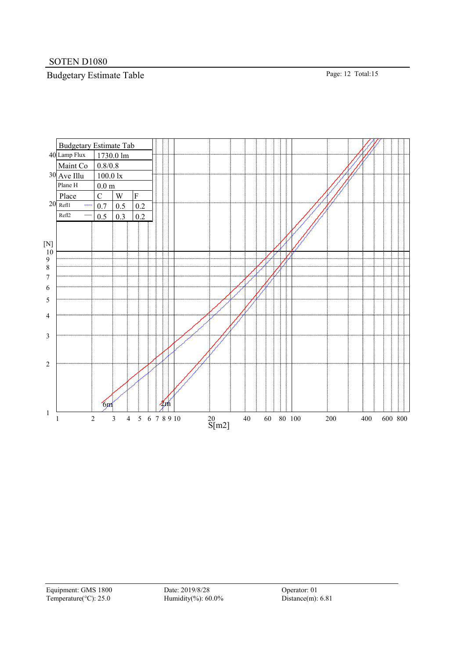# Budgetary Estimate Table Page: 12 Total:15

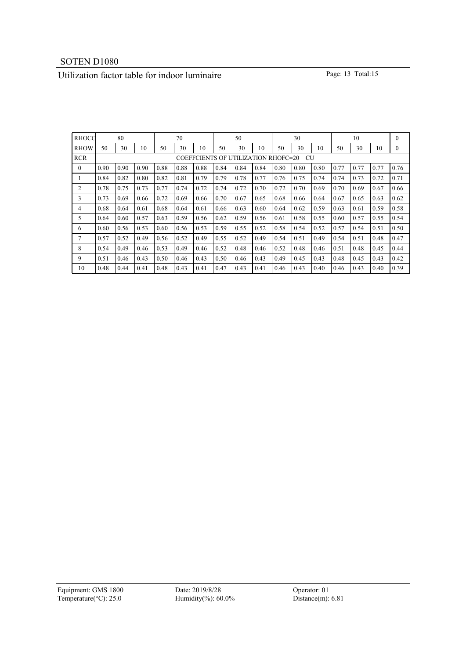# Utilization factor table for indoor luminaire Page: 13 Total:15

| <b>RHOCC</b> | 80<br>70                                         |      |      |      |      | 50   |      |      | 30   |      | 10   |      |      | $\mathbf{0}$ |      |              |
|--------------|--------------------------------------------------|------|------|------|------|------|------|------|------|------|------|------|------|--------------|------|--------------|
| <b>RHOW</b>  | 50                                               | 30   | 10   | 50   | 30   | 10   | 50   | 30   | 10   | 50   | 30   | 10   | 50   | 30           | 10   | $\mathbf{0}$ |
| <b>RCR</b>   | <b>COEFFCIENTS OF UTILIZATION RHOFC=20</b><br>CU |      |      |      |      |      |      |      |      |      |      |      |      |              |      |              |
| $\theta$     | 0.90                                             | 0.90 | 0.90 | 0.88 | 0.88 | 0.88 | 0.84 | 0.84 | 0.84 | 0.80 | 0.80 | 0.80 | 0.77 | 0.77         | 0.77 | 0.76         |
| л.           | 0.84                                             | 0.82 | 0.80 | 0.82 | 0.81 | 0.79 | 0.79 | 0.78 | 0.77 | 0.76 | 0.75 | 0.74 | 0.74 | 0.73         | 0.72 | 0.71         |
| 2            | 0.78                                             | 0.75 | 0.73 | 0.77 | 0.74 | 0.72 | 0.74 | 0.72 | 0.70 | 0.72 | 0.70 | 0.69 | 0.70 | 0.69         | 0.67 | 0.66         |
| 3            | 0.73                                             | 0.69 | 0.66 | 0.72 | 0.69 | 0.66 | 0.70 | 0.67 | 0.65 | 0.68 | 0.66 | 0.64 | 0.67 | 0.65         | 0.63 | 0.62         |
| 4            | 0.68                                             | 0.64 | 0.61 | 0.68 | 0.64 | 0.61 | 0.66 | 0.63 | 0.60 | 0.64 | 0.62 | 0.59 | 0.63 | 0.61         | 0.59 | 0.58         |
| 5            | 0.64                                             | 0.60 | 0.57 | 0.63 | 0.59 | 0.56 | 0.62 | 0.59 | 0.56 | 0.61 | 0.58 | 0.55 | 0.60 | 0.57         | 0.55 | 0.54         |
| 6            | 0.60                                             | 0.56 | 0.53 | 0.60 | 0.56 | 0.53 | 0.59 | 0.55 | 0.52 | 0.58 | 0.54 | 0.52 | 0.57 | 0.54         | 0.51 | 0.50         |
|              | 0.57                                             | 0.52 | 0.49 | 0.56 | 0.52 | 0.49 | 0.55 | 0.52 | 0.49 | 0.54 | 0.51 | 0.49 | 0.54 | 0.51         | 0.48 | 0.47         |
| 8            | 0.54                                             | 0.49 | 0.46 | 0.53 | 0.49 | 0.46 | 0.52 | 0.48 | 0.46 | 0.52 | 0.48 | 0.46 | 0.51 | 0.48         | 0.45 | 0.44         |
| 9            | 0.51                                             | 0.46 | 0.43 | 0.50 | 0.46 | 0.43 | 0.50 | 0.46 | 0.43 | 0.49 | 0.45 | 0.43 | 0.48 | 0.45         | 0.43 | 0.42         |
| 10           | 0.48                                             | 0.44 | 0.41 | 0.48 | 0.43 | 0.41 | 0.47 | 0.43 | 0.41 | 0.46 | 0.43 | 0.40 | 0.46 | 0.43         | 0.40 | 0.39         |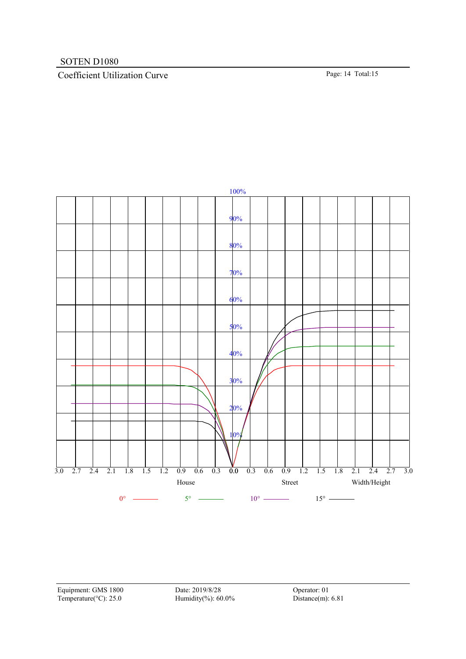# Coefficient Utilization Curve Page: 14 Total:15